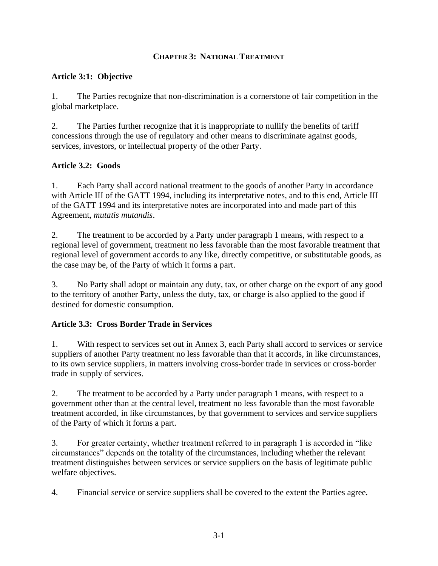#### **CHAPTER 3: NATIONAL TREATMENT**

#### **Article 3:1: Objective**

1. The Parties recognize that non-discrimination is a cornerstone of fair competition in the global marketplace.

2. The Parties further recognize that it is inappropriate to nullify the benefits of tariff concessions through the use of regulatory and other means to discriminate against goods, services, investors, or intellectual property of the other Party.

## **Article 3.2: Goods**

1. Each Party shall accord national treatment to the goods of another Party in accordance with Article III of the GATT 1994, including its interpretative notes, and to this end, Article III of the GATT 1994 and its interpretative notes are incorporated into and made part of this Agreement, *mutatis mutandis*.

2. The treatment to be accorded by a Party under paragraph 1 means, with respect to a regional level of government, treatment no less favorable than the most favorable treatment that regional level of government accords to any like, directly competitive, or substitutable goods, as the case may be, of the Party of which it forms a part.

3. No Party shall adopt or maintain any duty, tax, or other charge on the export of any good to the territory of another Party, unless the duty, tax, or charge is also applied to the good if destined for domestic consumption.

## **Article 3.3: Cross Border Trade in Services**

1. With respect to services set out in Annex 3, each Party shall accord to services or service suppliers of another Party treatment no less favorable than that it accords, in like circumstances, to its own service suppliers, in matters involving cross-border trade in services or cross-border trade in supply of services.

2. The treatment to be accorded by a Party under paragraph 1 means, with respect to a government other than at the central level, treatment no less favorable than the most favorable treatment accorded, in like circumstances, by that government to services and service suppliers of the Party of which it forms a part.

3. For greater certainty, whether treatment referred to in paragraph 1 is accorded in "like circumstances" depends on the totality of the circumstances, including whether the relevant treatment distinguishes between services or service suppliers on the basis of legitimate public welfare objectives.

4. Financial service or service suppliers shall be covered to the extent the Parties agree.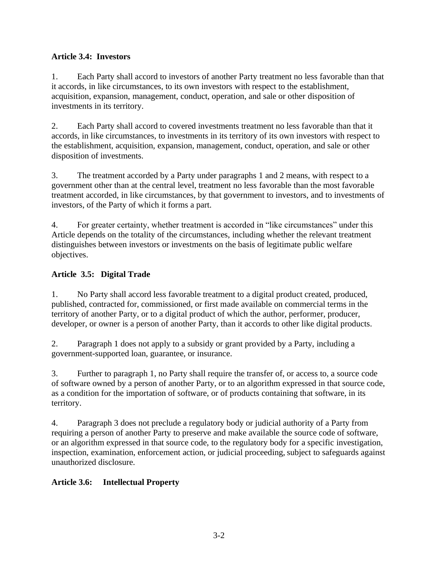## **Article 3.4: Investors**

1. Each Party shall accord to investors of another Party treatment no less favorable than that it accords, in like circumstances, to its own investors with respect to the establishment, acquisition, expansion, management, conduct, operation, and sale or other disposition of investments in its territory.

2. Each Party shall accord to covered investments treatment no less favorable than that it accords, in like circumstances, to investments in its territory of its own investors with respect to the establishment, acquisition, expansion, management, conduct, operation, and sale or other disposition of investments.

3. The treatment accorded by a Party under paragraphs 1 and 2 means, with respect to a government other than at the central level, treatment no less favorable than the most favorable treatment accorded, in like circumstances, by that government to investors, and to investments of investors, of the Party of which it forms a part.

4. For greater certainty, whether treatment is accorded in "like circumstances" under this Article depends on the totality of the circumstances, including whether the relevant treatment distinguishes between investors or investments on the basis of legitimate public welfare objectives.

## **Article 3.5: Digital Trade**

1. No Party shall accord less favorable treatment to a digital product created, produced, published, contracted for, commissioned, or first made available on commercial terms in the territory of another Party, or to a digital product of which the author, performer, producer, developer, or owner is a person of another Party, than it accords to other like digital products.

2. Paragraph 1 does not apply to a subsidy or grant provided by a Party, including a government-supported loan, guarantee, or insurance.

3. Further to paragraph 1, no Party shall require the transfer of, or access to, a source code of software owned by a person of another Party, or to an algorithm expressed in that source code, as a condition for the importation of software, or of products containing that software, in its territory.

4. Paragraph 3 does not preclude a regulatory body or judicial authority of a Party from requiring a person of another Party to preserve and make available the source code of software, or an algorithm expressed in that source code, to the regulatory body for a specific investigation, inspection, examination, enforcement action, or judicial proceeding, subject to safeguards against unauthorized disclosure.

## **Article 3.6: Intellectual Property**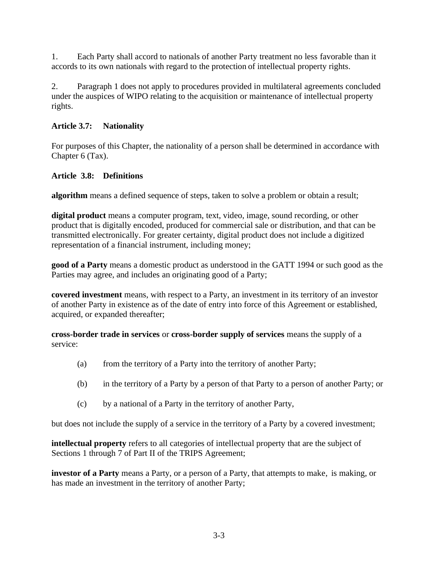1. Each Party shall accord to nationals of another Party treatment no less favorable than it accords to its own nationals with regard to the protection of intellectual property rights.

2. Paragraph 1 does not apply to procedures provided in multilateral agreements concluded under the auspices of WIPO relating to the acquisition or maintenance of intellectual property rights.

#### **Article 3.7: Nationality**

For purposes of this Chapter, the nationality of a person shall be determined in accordance with Chapter 6 (Tax).

#### **Article 3.8: Definitions**

**algorithm** means a defined sequence of steps, taken to solve a problem or obtain a result;

**digital product** means a computer program, text, video, image, sound recording, or other product that is digitally encoded, produced for commercial sale or distribution, and that can be transmitted electronically. For greater certainty, digital product does not include a digitized representation of a financial instrument, including money;

**good of a Party** means a domestic product as understood in the GATT 1994 or such good as the Parties may agree, and includes an originating good of a Party;

**covered investment** means, with respect to a Party, an investment in its territory of an investor of another Party in existence as of the date of entry into force of this Agreement or established, acquired, or expanded thereafter;

**cross-border trade in services** or **cross-border supply of services** means the supply of a service:

- (a) from the territory of a Party into the territory of another Party;
- (b) in the territory of a Party by a person of that Party to a person of another Party; or
- (c) by a national of a Party in the territory of another Party,

but does not include the supply of a service in the territory of a Party by a covered investment;

**intellectual property** refers to all categories of intellectual property that are the subject of Sections 1 through 7 of Part II of the TRIPS Agreement;

**investor of a Party** means a Party, or a person of a Party, that attempts to make, is making, or has made an investment in the territory of another Party;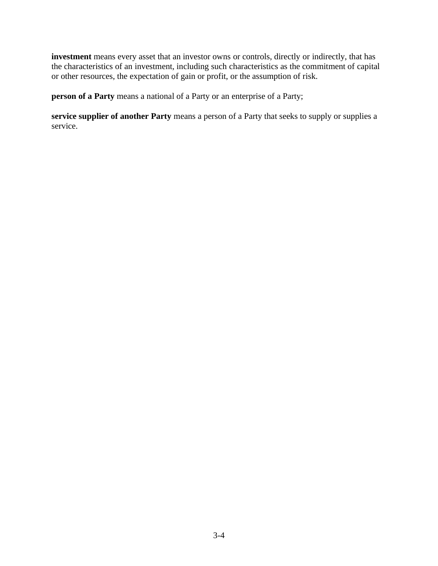**investment** means every asset that an investor owns or controls, directly or indirectly, that has the characteristics of an investment, including such characteristics as the commitment of capital or other resources, the expectation of gain or profit, or the assumption of risk.

**person of a Party** means a national of a Party or an enterprise of a Party;

**service supplier of another Party** means a person of a Party that seeks to supply or supplies a service.